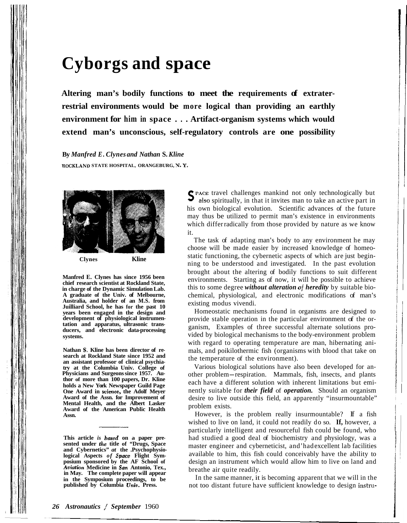# **Cyborgs and space**

**Altering man's bodily functions to meet the requirements of extraterrestrial environments would be more logical than providing an earthly environment for him in space** . . . **Artifact-organism systems which would extend man's unconscious, self-regulatory controls are one possibility** 

**By** *Manfred E. Clynes and Nathan* **S.** *Kline*  **ROCKLAND STATE HOSPITAL, ORANGEBURG, N.** *Y.* 



**Clynes Kline** 

**Manfred E. Clynes has since 1956 been chief research scientist at Rockland State, in charge of the Dynamic Simulation Lab. A graduate of the Univ. of Melbourne, Australia, and holder of an M.S. from Juilliard School, he has for the past 10 years been engaged in the design and development of physiological instrumentation and apparatus, ultrasonic trans- ducers, and electronic data-processing systems.** 

**Nathan S. Kline has been director of re**an assistant professor of clinical psychia**try at the Columbia Univ. College of Physicians and Surgeons since 1957. Author of more than 100 papers, Dr. Kline holds a New York Newspaper Guild Page One Award in science, the Adolf Meyer Award of the Assn. for Improvement of Mental Health, and the Albert Lasker Award of the American Public Health Assn.** 

This article *is based* on a paper pre**sented under** *the* **title of "Drugs, Space and Cybernetics"** *at* **the .Psychophysio- logical Aspects** *of* **Spme Flight Symposium sponsored by the AF School of Aviation Medicine in Sun Antonio, Tex., in May. The complete paper will appear in the Symposium proceedings, to be published by Columbia Univ. Press.** 

SPACE travel challenges mankind not only technologically but also spiritually, in that it invites man to take an active part in his own biological evolution. Scientific advances of the future may thus be utilized to permit man's existence in environments which differ radically from those provided by nature as we know it.

The task of adapting man's body to any environment he may choose will be made easier by increased knowledge of homeostatic functioning, the cybernetic aspects of which are just beginning to be understood and investigated. In the past evolution brought about the altering of bodily functions to suit different environments. Starting as of now, it will be possible to achieve this to some degree *without alteration* of *heredity* by suitable biochemical, physiological, and electronic modifications of man's existing modus vivendi.

Homeostatic mechanisms found in organisms are designed to provide stable operation in the particular environment of the organism, Examples of three successful alternate solutions provided by biological mechanisms to the body-environment problem with regard to operating temperature are man, hibernating animals, and poikilothermic fish (organisms with blood that take on the temperature of the environment).

Various biological solutions have also been developed for an-other problem-respiration. Mammals, fish, insects, and plants each have a different solution with inherent limitations but eminently suitable for *their field* of *operation.* Should an organism desire to live outside this field, an apparently "insurmountable" problem exists.

However, is the problem really insurmountable? If a fish wished to live on land, it could not readily do so. **If,** however, a particularly intelligent and resourceful fish could be found, who had studied a good deal of biochemistry and physiology, was a master engineer and cyberneticist, and'had excellent lab facilities available to him, this fish could conceivably have the ability to design an instrument which would allow him to live on land and breathe air quite readily.

In the same manner, it is becoming apparent that we will in the not too distant future have sufficient knowledge to design instru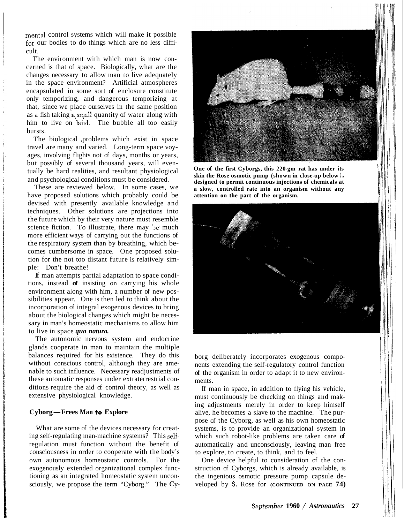<span id="page-1-0"></span>mental control systems which will make it possible for our bodies to do things which are no less difficult.

The environment with which man is now concerned is that of space. Biologically, what are the changes necessary to allow man to live adequately in the space environment? Artificial atmospheres encapsulated in some sort of enclosure constitute only temporizing, and dangerous temporizing at that, since we place ourselves in the same position as a fish taking a,small quantity of water along with him to live on land. The bubble all too easily bursts.

The biological ,problems which exist in space travel are many and varied. Long-term space voyages, involving flights not of days, months or years, but possibly of several thousand years, will eventually be hard realities, and resultant physiological and psychological conditions must be considered.

These are reviewed below. In some cases, we have proposed solutions which probably could be devised with presently available knowledge and techniques. Other solutions are projections into the future which by their very nature must resemble science fiction. To illustrate, there may be' much more efficient ways of carrying out the functions of the respiratory system than by breathing, which becomes cumbersome in space. One proposed solution for the not too distant future is relatively simple: Don't breathe!

If man attempts partial adaptation to space conditions, instead **of** insisting on carrying his whole environment along with him, a number of new possibilities appear. One is then led to think about the incorporation of integral exogenous devices to bring about the biological changes which might be necessary in man's homeostatic mechanisms to allow him to live in space *qua natura.* 

The autonomic nervous system and endocrine glands cooperate in man to maintain the multiple balances required for his existence. They do this without conscious control, although they are amenable to such influence. Necessary readjustments of these automatic responses under extraterrestrial conditions require the aid of control theory, as well as extensive physiological knowledge.

### **Cyborg-Frees Man** *+o* **Explore**

What are some of the devices necessary for creating self-regulating man-machine systems? This selfregulation must function without the benefit of consciousness in order to cooperate with the body's own autonomous homeostatic controls. For the exogenously extended organizational complex functioning as an integrated homeostatic system unconsciously, we propose the term "Cyborg." The Cy-



One of the first Cyborgs, this 220-gm rat has under its skin the Rose osmotic pump (shown in close-up below), designed to permit continuous injections of chemicals at a slow, controlled rate into an organism without any **attention on the part of the organism.** 



borg deliberately incorporates exogenous components extending the self-regulatory control function of the organism in order to adapt it to new environments.

If man in space, in addition to flying his vehicle, must continuously be checking on things and making adjustments merely in order to keep himself alive, he becomes a slave to the machine. The purpose of the Cyborg, as well as his own homeostatic systems, is to provide an organizational system in which such robot-like problems are taken care of automatically and unconsciously, leaving man free to explore, to create, to think, and to feel.

One device helpful to consideration of the construction of Cyborgs, which is already available, is the ingenious osmotic pressure pump capsule developed by **S.** Rose for **(CONTINUED ON [PAGE 74\)](#page-2-0)**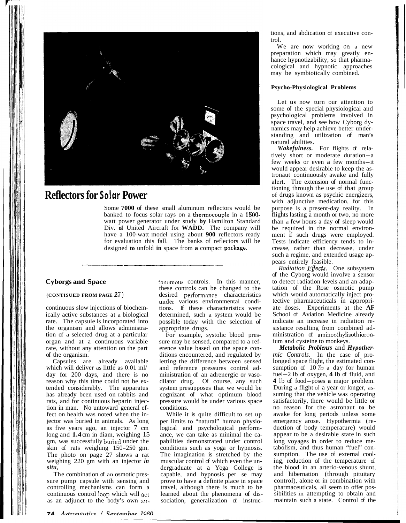<span id="page-2-0"></span>

\_\_

# **Reflectors for Solar Power**

Some **7000** of these small aluminum reflectors would be banked to focus solar rays on a thermocouple in a 1500watt power generator under study **by** Hamilton Standard Div. **of** United Aircraft for **WADD.** The company will have a 100-watt model using about **900** reflectors ready for evaluation this fall. The banks of reflectors will be designed **to** unfold **in** space from **a** compact package.

#### **Cyborgs and Space**

### **(CONTISUED FROM [PAGE](#page-1-0)** 27)

continuous slow injections of biochemically active substances at a biological rate. The capsule is incorporated into the organism and allows administration of a selected drug at a particular organ and at a continuous variable rate, without any attention on the part of the organism.

Capsules are already available which will deliver as little as 0.01 ml/ day for 200 days, and there is no reason why this time could not be extended considerably. The apparatus has already been used on rabbits and rats, and for continuous heparin injection in man. No untoward general effect on health was noted when the injector was buried in animals. As long as five years ago, an injector 7 cm long and **1.4** cm in diam, weighing 15 gm, was successfully buried under the skin of rats weighing 150-250 gm. The photo on [page 27](#page-1-0) shows a rat weighing 220 gm with an injector *in situ,* 

The combination of an osmotic pressure pump capsule with sensing and controlling mechanisms can form a continuous control loop which will act as an adjunct to the body's own autonomous controls. In this manner, these controls can be changed to the desired performance characteristics uder various environmental conditions. If these characteristics were determined, such a system would be possible today with the selection of appropriate drugs.

For example, systolic blood pressure may be sensed, compared to a reference value based on the space conditions encountered, and regulated by letting the difference between sensed and reference pressures control administration of an adrenergic or vasodilator drug. Of course, any such system presupposes that we would be cognizant of what optimum blood pressure would be under various space conditions.

While it is quite difficult to set up per limits to "natural" human physiological and psychological performance, we can take as minimal the capabilities demonstrated under control conditions such as yoga or hypnosis. The imagination is stretched by the muscular control of which even the undergraduate at a Yoga College is capable, and hypnosis per se may prove to have **a** definite place in space travel, although there is much to be learned about the phenomena of dissociation, generalization of instructions, and abdication of executive control.

We are now working on a new preparation which may greatly enhance hypnotizability, so that pharmacological and hypnotic approaches may be symbiotically combined.

#### **Psycho-Physiological Problems**

Let **us** now turn our attention to some of the special physiological and psychological problems involved in space travel, and see how Cyborg dynamics may help achieve better understanding and utilization of man's natural abilities.

*Wakefulness.* For flights of relatively short or moderate duration-a few weeks or even a few months-it would appear desirable to keep the astronaut continuously awake and fully alert. The extension of normal functioning through the use of that group of drugs known as psychic energizers, with adjunctive medication, for this purpose is a present-day reality. In flights lasting a month or two, no more than a few hours a day of sleep would be required in the normal environment if such drugs were employed. Tests indicate efficiency tends to increase, rather than decrease, under such a regime, and extended usage appears entirely feasible.

*Radiation Efects.* One subsystem of the Cyborg would involve a sensor to detect radiation levels and an adap- tation of the Rose osmotic pump which would automatically inject protective pharmaceuticals in appropriate doses. Experiments at the **AF**  School of Aviation Medicine already indicate an increase in radiation resistance resulting from combined administration of aminoethylisothioronium and cysteine to monkeys.

*Metabolic Problenzs* and *Hypothermic Controls.* In the case of prolonged space flight, the estimated consumption of 10 Ib a day for human fuel-2 lb of oxygen, **<sup>4</sup>**lb of fluid, and **<sup>4</sup>**lb of food-poses **a** major problem. During a flight of a year or longer, assuming that the vehicle was operating satisfactorily, there would be little or no reason for the astronaut **to** be awake for long periods unless some emergency arose. Hypothermia (reduction of body temperature) would appear to be a desirable state in such long voyages in order to reduce metabolism, and thus human "fuel" consumption. The use of external cooling, reduction of the temperature of the blood in an arterio-venous shunt, and hibernation (through pituitary control), alone or in combination with pharmaceuticals, all seem to offer possibilities in attempting to obtain and maintain such a state. Control of the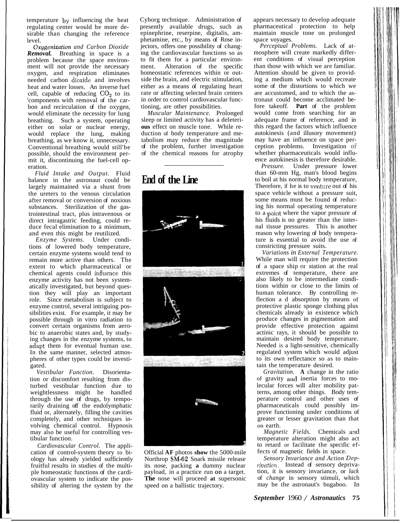temperature by influencing the heat regulating center would be more desirable than changing the reference level.

*Oxygenization and Carbon Dioxide Removal.* Breathing in space is a problem because the space environment will not provide the necessary oxygen, and respiration eliminates needed carbon dioxide and involves heat and water losses. An inverse fuel cell, capable of reducing  $CO<sub>2</sub>$  to its 'components with removal of the carbon and recirculation of the oxygen, would eliminate the necessity for lung breathing. Such a system, operating either on solar or nuclear energy, would replace the lung, making breathing, as we know it, unnecessary. Conventional breathing would still'be possible, should the environment permit it, discontinuing the fuel-cell operation.

*Fluid Intake and Output.* Fluid balance in the astronaut could be largely maintained via a shunt from the ureters to the venous circulation after removal or conversion of noxious substances. Sterilization of the gastrointestinal tract, plus intravenous or direct intragastric feeding, could reduce fecal elimination to a minimum, and even this might be reutilized.

*Enzyme Systems.* Under conditions of lowered body temperature, certain enzyme systems would tend to remain more active than others. The extent to which pharmaceutical or chemical agents could influence this enzyme activity has not been systematically investigated, but beyond question they will play an important role. Since metabolism is subject to enzyme control, several intriguing possibilities exist. For example, it may be possible through in vitro radiation to convert certain organisms from aerobic to anaerobic states and, by studying changes in the enzyme systems, to adapt them for eventual human use. In the same manner, selected atmospheres of other types could be investigated.

*Vestibular Function.* Disorientation or discomfort resulting from disturbed vestibular function due to weightlessness might be handled through the use of drugs, by temporarily draining off the endolymphatic fluid or, alternately, filling the cavities completely, and other techniques involving chemical control. Hypnosis may also be useful for controlling vestibular function.

*Cardiovascular Control.* The application of control-system theory to biology has already yielded sufficiently fruitful results in studies of the multiple homeostatic functions of the cardiovascular system to indicate the possibility of altering the system by the Cyborg technique. Administration of presently available drugs, such as epinephrine, reserpine, digitalis, amphetamine, etc., by means of Rose injectors, offers one possibility of changing the cardiovascular functions so as to fit them for a particular environment. Alteration of the specific homeostatic references within or outside the brain, and electric stimulation, either as a means of regulating heart rate or affecting selected brain centers in order to control cardiovascular functioning, are other possibilities.

*Muscular Maintenance.* Prolonged sleep or limited activity has a deleteri**ous** effect on muscle tone. While reduction of body temperature and metabolism may reduce the magnitude of the problem, further investigation of the chemical reasons for atrophy

### **End of the Line**



Official **AF** photos **show** the 5000-mile Northrop **SM-62** Snark missile release its nose, packing **a** dummy nuclear payload, in a practice run on a target. **The** nose will proceed **at** supersonic speed on a ballistic trajectory.

appears necessary to develop adequate pharmaceutical protection to help maintain muscle tone on prolonged space voyages.

*Perceptual Problems.* Lack of atmosphere will create markedly different conditions of visual perception than those with which we are familiar. Attention should be given to providing a medium which would recreate some of the distortions to which we are accustomed, and to which the astronaut could become acclimated before takeoff. **Part** of the problem would come from searching for an adequate frame of reference, and in this regard the factors which influence autokinesis (and illusory movement) may have an influence on space perception problems. Investigation of whether pharmaceuticals would influence autokinesis is therefore desirable.

*Pressure.* Under pressure lower than 60-mm Hg, man's blood begins to boil at his normal body temperature, Therefore, if he is to venture out of his space vehicle without a pressure suit, some means must be found of reducing his normal operating temperature to a point where the vapor pressure of his fluids is no greater than the internal tissue pressures. This is another reason why lowering of body temperature is essential to avoid the use of constricting pressure suits.

*Variations in External Temperature.*  While man will require the protection of a space ship or station at the real extremes of temperature, there are also likely to be intermediate conditions within or close to the limits of human tolerance. By controlling reflection ad absorption by means of protective plastic sponge clothing plus chemicals already in existence which produce changes in pigmentation and provide effective protection against actinic rays, it should be possible to maintain desired body temperature. Needed is a light-sensitive, chemically regulated system which would adjust to its own reflectance so as to maintain the temperature desired.

*Gravitation.* **A** change in the ratio of gravity and inertia forces to molecular forces will alter mobility patterns, among other things. Body temperature control and other uses of pharmaceuticals could possibly improve functioning under conditions of greater or lesser gravitation than that on earth.

*Magnetic Fields.* Chemicals and temperature alteration might also act to retard or facilitate the specific effects of magnetic fields in space.

*Sensory Invariance and Action Dep-Tivation.* Instead of sensory deprivation, it is sensory invariance, or *lack*  of *change* in sensory stimuli, which may be the astronaut's bugaboo. In

*September* 1960 / *Astronautics* **75**